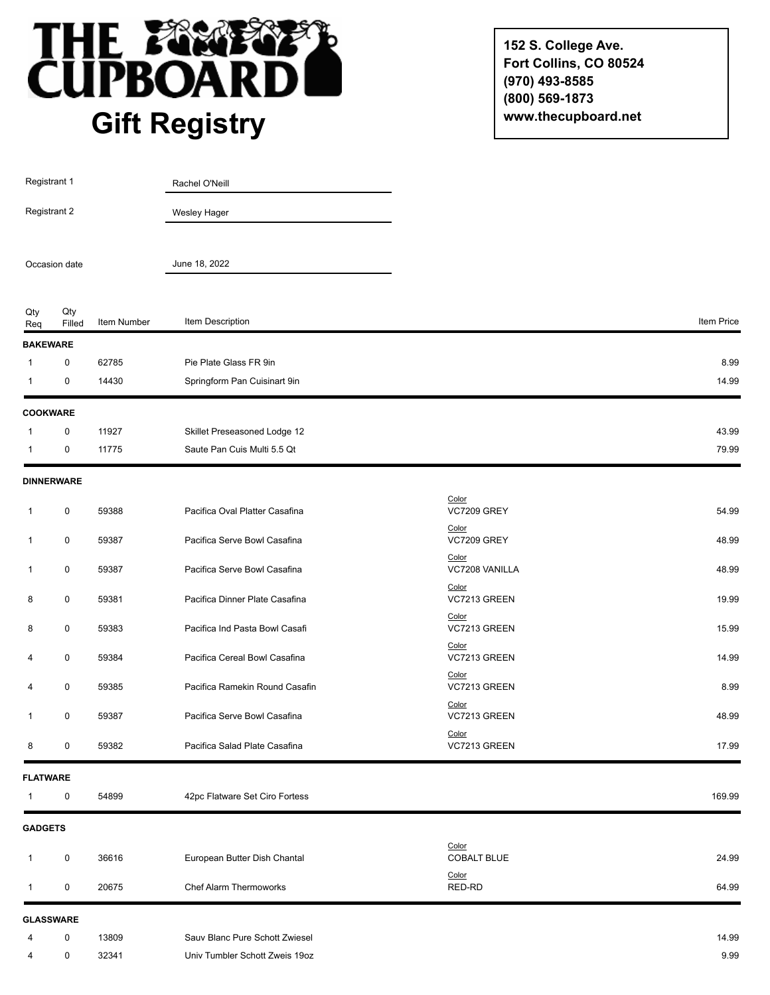

**152 S. College Ave. Fort Collins, CO 80524 (970) 493-8585 (800) 569-1873 www.thecupboard.net**

| Registrant 1   |                   |             | Rachel O'Neill                 |                                |            |
|----------------|-------------------|-------------|--------------------------------|--------------------------------|------------|
| Registrant 2   |                   |             | Wesley Hager                   |                                |            |
| Occasion date  |                   |             | June 18, 2022                  |                                |            |
| Qty<br>Req     | Qty<br>Filled     | Item Number | Item Description               |                                | Item Price |
|                | <b>BAKEWARE</b>   |             |                                |                                |            |
| -1             | $\pmb{0}$         | 62785       | Pie Plate Glass FR 9in         |                                | 8.99       |
| $\mathbf 1$    | 0                 | 14430       | Springform Pan Cuisinart 9in   |                                | 14.99      |
|                | <b>COOKWARE</b>   |             |                                |                                |            |
| -1             | 0                 | 11927       | Skillet Preseasoned Lodge 12   |                                | 43.99      |
| 1              | 0                 | 11775       | Saute Pan Cuis Multi 5.5 Qt    |                                | 79.99      |
|                | <b>DINNERWARE</b> |             |                                |                                |            |
| 1              | 0                 | 59388       | Pacifica Oval Platter Casafina | Color<br><b>VC7209 GREY</b>    | 54.99      |
| $\mathbf{1}$   | $\pmb{0}$         | 59387       | Pacifica Serve Bowl Casafina   | Color<br><b>VC7209 GREY</b>    | 48.99      |
| $\mathbf{1}$   | 0                 | 59387       | Pacifica Serve Bowl Casafina   | Color<br>VC7208 VANILLA        | 48.99      |
| 8              | 0                 | 59381       | Pacifica Dinner Plate Casafina | Color<br>VC7213 GREEN          | 19.99      |
| 8              | 0                 | 59383       | Pacifica Ind Pasta Bowl Casafi | Color<br>VC7213 GREEN          | 15.99      |
| 4              | 0                 | 59384       | Pacifica Cereal Bowl Casafina  | Color<br>VC7213 GREEN          | 14.99      |
| 4              | 0                 | 59385       | Pacifica Ramekin Round Casafin | Color<br>VC7213 GREEN<br>Color | 8.99       |
| -1             | 0                 | 59387       | Pacifica Serve Bowl Casafina   | VC7213 GREEN                   | 48.99      |
| 8              | 0                 | 59382       | Pacifica Salad Plate Casafina  | Color<br>VC7213 GREEN          | 17.99      |
|                | <b>FLATWARE</b>   |             |                                |                                |            |
| 1              | $\mathbf 0$       | 54899       | 42pc Flatware Set Ciro Fortess |                                | 169.99     |
| <b>GADGETS</b> |                   |             |                                |                                |            |
| 1              | $\mathbf 0$       | 36616       | European Butter Dish Chantal   | Color<br><b>COBALT BLUE</b>    | 24.99      |
| $\mathbf{1}$   | 0                 | 20675       | Chef Alarm Thermoworks         | Color<br>RED-RD                | 64.99      |
|                | <b>GLASSWARE</b>  |             |                                |                                |            |
| 4              | $\mathbf 0$       | 13809       | Sauv Blanc Pure Schott Zwiesel |                                | 14.99      |
| 4              | 0                 | 32341       | Univ Tumbler Schott Zweis 19oz |                                | 9.99       |